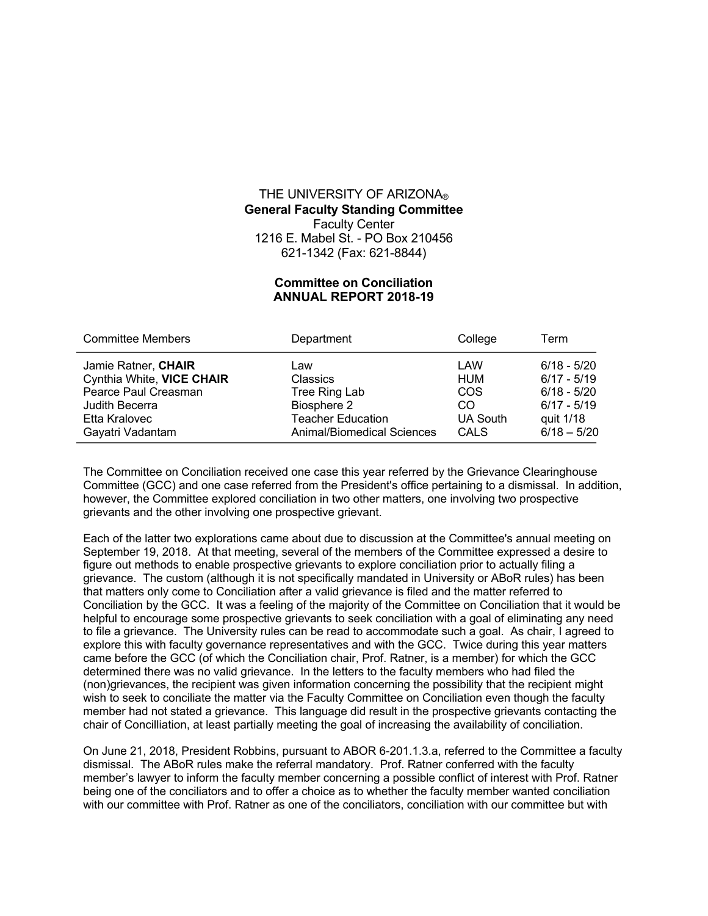## THE UNIVERSITY OF ARIZONA® **General Faculty Standing Committee** Faculty Center 1216 E. Mabel St. - PO Box 210456 621-1342 (Fax: 621-8844)

## **Committee on Conciliation ANNUAL REPORT 2018-19**

| <b>Committee Members</b>  | Department                 | College    | Term          |
|---------------------------|----------------------------|------------|---------------|
| Jamie Ratner, CHAIR       | Law                        | LAW        | $6/18 - 5/20$ |
| Cynthia White, VICE CHAIR | <b>Classics</b>            | <b>HUM</b> | $6/17 - 5/19$ |
| Pearce Paul Creasman      | Tree Ring Lab              | COS        | $6/18 - 5/20$ |
| Judith Becerra            | Biosphere 2                | CO.        | $6/17 - 5/19$ |
| Etta Kralovec             | <b>Teacher Education</b>   | UA South   | quit 1/18     |
| Gayatri Vadantam          | Animal/Biomedical Sciences | CALS       | $6/18 - 5/20$ |

The Committee on Conciliation received one case this year referred by the Grievance Clearinghouse Committee (GCC) and one case referred from the President's office pertaining to a dismissal. In addition, however, the Committee explored conciliation in two other matters, one involving two prospective grievants and the other involving one prospective grievant.

Each of the latter two explorations came about due to discussion at the Committee's annual meeting on September 19, 2018. At that meeting, several of the members of the Committee expressed a desire to figure out methods to enable prospective grievants to explore conciliation prior to actually filing a grievance. The custom (although it is not specifically mandated in University or ABoR rules) has been that matters only come to Conciliation after a valid grievance is filed and the matter referred to Conciliation by the GCC. It was a feeling of the majority of the Committee on Conciliation that it would be helpful to encourage some prospective grievants to seek conciliation with a goal of eliminating any need to file a grievance. The University rules can be read to accommodate such a goal. As chair, I agreed to explore this with faculty governance representatives and with the GCC. Twice during this year matters came before the GCC (of which the Conciliation chair, Prof. Ratner, is a member) for which the GCC determined there was no valid grievance. In the letters to the faculty members who had filed the (non)grievances, the recipient was given information concerning the possibility that the recipient might wish to seek to conciliate the matter via the Faculty Committee on Conciliation even though the faculty member had not stated a grievance. This language did result in the prospective grievants contacting the chair of Concilliation, at least partially meeting the goal of increasing the availability of conciliation.

On June 21, 2018, President Robbins, pursuant to ABOR 6-201.1.3.a, referred to the Committee a faculty dismissal. The ABoR rules make the referral mandatory. Prof. Ratner conferred with the faculty member's lawyer to inform the faculty member concerning a possible conflict of interest with Prof. Ratner being one of the conciliators and to offer a choice as to whether the faculty member wanted conciliation with our committee with Prof. Ratner as one of the conciliators, conciliation with our committee but with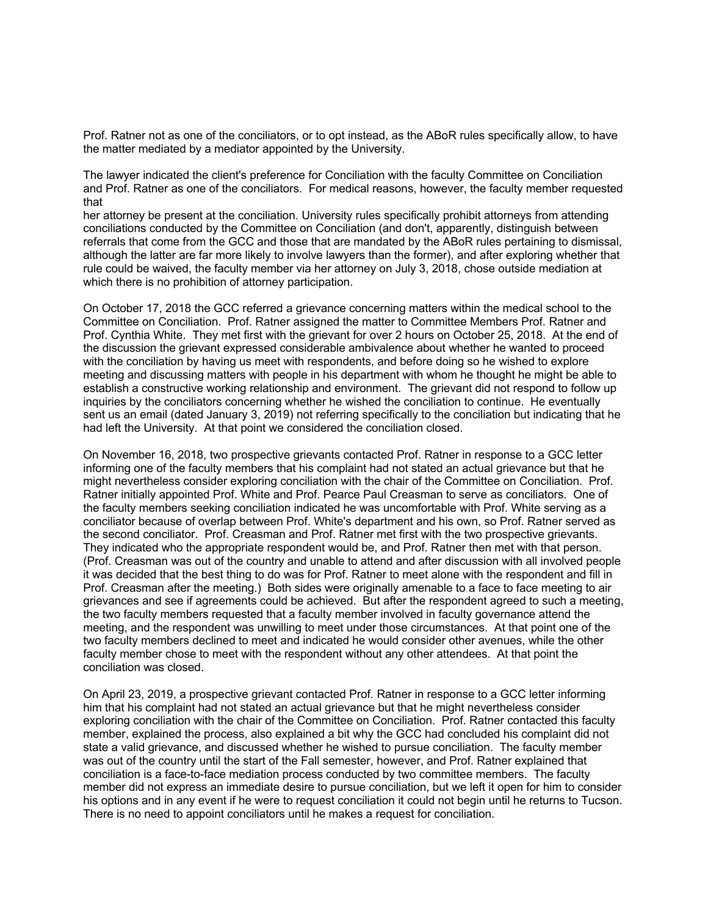Prof. Ratner not as one of the conciliators, or to opt instead, as the ABoR rules specifically allow, to have the matter mediated by a mediator appointed by the University.

The lawyer indicated the client's preference for Conciliation with the faculty Committee on Conciliation and Prof. Ratner as one of the conciliators. For medical reasons, however, the faculty member requested that

her attorney be present at the conciliation. University rules specifically prohibit attorneys from attending conciliations conducted by the Committee on Conciliation (and don't, apparently, distinguish between referrals that come from the GCC and those that are mandated by the ABoR rules pertaining to dismissal, although the latter are far more likely to involve lawyers than the former), and after exploring whether that rule could be waived, the faculty member via her attorney on July 3, 2018, chose outside mediation at which there is no prohibition of attorney participation.

On October 17, 2018 the GCC referred a grievance concerning matters within the medical school to the Committee on Conciliation. Prof. Ratner assigned the matter to Committee Members Prof. Ratner and Prof. Cynthia White. They met first with the grievant for over 2 hours on October 25, 2018. At the end of the discussion the grievant expressed considerable ambivalence about whether he wanted to proceed with the conciliation by having us meet with respondents, and before doing so he wished to explore meeting and discussing matters with people in his department with whom he thought he might be able to establish a constructive working relationship and environment. The grievant did not respond to follow up inquiries by the conciliators concerning whether he wished the conciliation to continue. He eventually sent us an email (dated January 3, 2019) not referring specifically to the conciliation but indicating that he had left the University. At that point we considered the conciliation closed.

On November 16, 2018, two prospective grievants contacted Prof. Ratner in response to a GCC letter informing one of the faculty members that his complaint had not stated an actual grievance but that he might nevertheless consider exploring conciliation with the chair of the Committee on Conciliation. Prof. Ratner initially appointed Prof. White and Prof. Pearce Paul Creasman to serve as conciliators. One of the faculty members seeking conciliation indicated he was uncomfortable with Prof. White serving as a conciliator because of overlap between Prof. White's department and his own, so Prof. Ratner served as the second conciliator. Prof. Creasman and Prof. Ratner met first with the two prospective grievants. They indicated who the appropriate respondent would be, and Prof. Ratner then met with that person. (Prof. Creasman was out of the country and unable to attend and after discussion with all involved people it was decided that the best thing to do was for Prof. Ratner to meet alone with the respondent and fill in Prof. Creasman after the meeting.) Both sides were originally amenable to a face to face meeting to air grievances and see if agreements could be achieved. But after the respondent agreed to such a meeting, the two faculty members requested that a faculty member involved in faculty governance attend the meeting, and the respondent was unwilling to meet under those circumstances. At that point one of the two faculty members declined to meet and indicated he would consider other avenues, while the other faculty member chose to meet with the respondent without any other attendees. At that point the conciliation was closed.

On April 23, 2019, a prospective grievant contacted Prof. Ratner in response to a GCC letter informing him that his complaint had not stated an actual grievance but that he might nevertheless consider exploring conciliation with the chair of the Committee on Conciliation. Prof. Ratner contacted this faculty member, explained the process, also explained a bit why the GCC had concluded his complaint did not state a valid grievance, and discussed whether he wished to pursue conciliation. The faculty member was out of the country until the start of the Fall semester, however, and Prof. Ratner explained that conciliation is a face-to-face mediation process conducted by two committee members. The faculty member did not express an immediate desire to pursue conciliation, but we left it open for him to consider his options and in any event if he were to request conciliation it could not begin until he returns to Tucson. There is no need to appoint conciliators until he makes a request for conciliation.